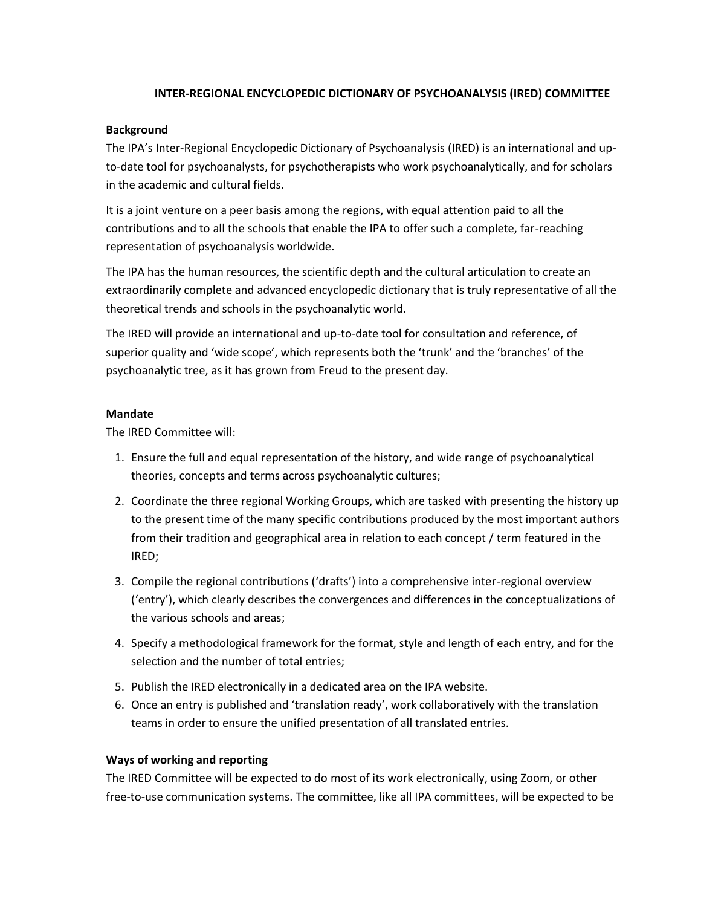# **INTER-REGIONAL ENCYCLOPEDIC DICTIONARY OF PSYCHOANALYSIS (IRED) COMMITTEE**

### **Background**

The IPA's Inter-Regional Encyclopedic Dictionary of Psychoanalysis (IRED) is an international and upto-date tool for psychoanalysts, for psychotherapists who work psychoanalytically, and for scholars in the academic and cultural fields.

It is a joint venture on a peer basis among the regions, with equal attention paid to all the contributions and to all the schools that enable the IPA to offer such a complete, far-reaching representation of psychoanalysis worldwide.

The IPA has the human resources, the scientific depth and the cultural articulation to create an extraordinarily complete and advanced encyclopedic dictionary that is truly representative of all the theoretical trends and schools in the psychoanalytic world.

The IRED will provide an international and up-to-date tool for consultation and reference, of superior quality and 'wide scope', which represents both the 'trunk' and the 'branches' of the psychoanalytic tree, as it has grown from Freud to the present day.

# **Mandate**

The IRED Committee will:

- 1. Ensure the full and equal representation of the history, and wide range of psychoanalytical theories, concepts and terms across psychoanalytic cultures;
- 2. Coordinate the three regional Working Groups, which are tasked with presenting the history up to the present time of the many specific contributions produced by the most important authors from their tradition and geographical area in relation to each concept / term featured in the IRED;
- 3. Compile the regional contributions ('drafts') into a comprehensive inter-regional overview ('entry'), which clearly describes the convergences and differences in the conceptualizations of the various schools and areas;
- 4. Specify a methodological framework for the format, style and length of each entry, and for the selection and the number of total entries;
- 5. Publish the IRED electronically in a dedicated area on the IPA website.
- 6. Once an entry is published and 'translation ready', work collaboratively with the translation teams in order to ensure the unified presentation of all translated entries.

# **Ways of working and reporting**

The IRED Committee will be expected to do most of its work electronically, using Zoom, or other free-to-use communication systems. The committee, like all IPA committees, will be expected to be